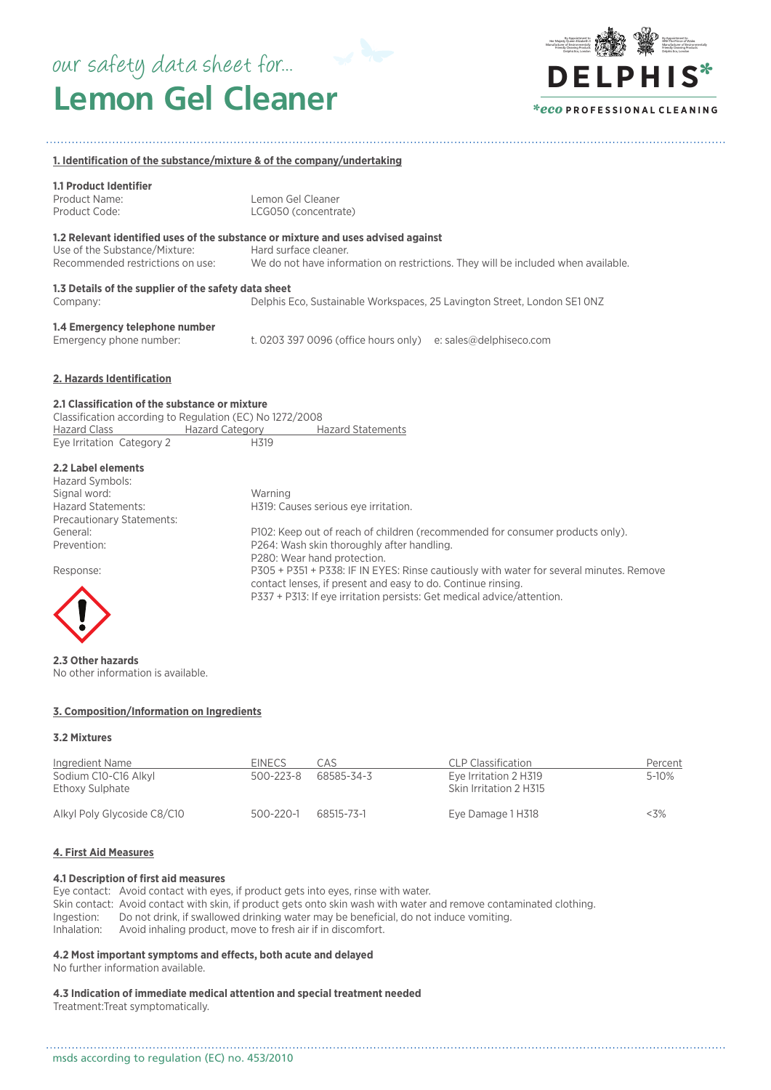# **Lemon Gel Cleaner** our safety data sheet for...



#### **1. Identification of the substance/mixture & of the company/undertaking**

# **1.1 Product Identifier**

Product Name: Lemon Gel Cleaner<br>Product Code: LCG050 (concentra Product Code: LCG050 (concentrate)

# **1.2 Relevant identified uses of the substance or mixture and uses advised against**

| Use of the Substance/Mixture:    | Hard surface cleaner.                                                             |
|----------------------------------|-----------------------------------------------------------------------------------|
| Recommended restrictions on use: | We do not have information on restrictions. They will be included when available. |
| ------------                     |                                                                                   |

# **1.3 Details of the supplier of the safety data sheet**

Company: Delphis Eco, Sustainable Workspaces, 25 Lavington Street, London SE1 0NZ

# **1.4 Emergency telephone number**

t. 0203 397 0096 (office hours only) e: sales@delphiseco.com

# **2. Hazards Identification**

# **2.1 Classification of the substance or mixture**

Classification according to Regulation (EC) No 1272/2008 Hazard Class **Hazard Category** Hazard Statements Eye Irritation Category 2 H319

#### **2.2 Label elements**

| Hazard Symbols:           |                                                                                         |
|---------------------------|-----------------------------------------------------------------------------------------|
| Signal word:              | Warning                                                                                 |
| <b>Hazard Statements:</b> | H319: Causes serious eye irritation.                                                    |
| Precautionary Statements: |                                                                                         |
| General:                  | P102: Keep out of reach of children (recommended for consumer products only).           |
| Prevention:               | P264: Wash skin thoroughly after handling.                                              |
|                           | P280: Wear hand protection.                                                             |
| Response:                 | P305 + P351 + P338: IF IN EYES: Rinse cautiously with water for several minutes. Remove |
|                           | contact lenses, if present and easy to do. Continue rinsing.                            |

P337 + P313: If eye irritation persists: Get medical advice/attention.



**2.3 Other hazards** No other information is available.

**3. Composition/Information on Ingredients**

#### **3.2 Mixtures**

| Ingredient Name<br>Sodium C10-C16 Alkyl<br>Ethoxy Sulphate | <b>EINECS</b><br>500-223-8 | CAS<br>68585-34-3 | CLP Classification<br>Eye Irritation 2 H319<br>Skin Irritation 2 H315 | Percent<br>5-10% |
|------------------------------------------------------------|----------------------------|-------------------|-----------------------------------------------------------------------|------------------|
| Alkyl Poly Glycoside C8/C10                                | $500 - 220 - 1$            | 68515-73-1        | Eye Damage 1 H318                                                     | $<$ 3%           |

# **4. First Aid Measures**

#### **4.1 Description of first aid measures**

Eye contact: Avoid contact with eyes, if product gets into eyes, rinse with water. Skin contact: Avoid contact with skin, if product gets onto skin wash with water and remove contaminated clothing. Ingestion: Do not drink, if swallowed drinking water may be beneficial, do not induce vomiting. Inhalation: Avoid inhaling product, move to fresh air if in discomfort.

. . . . . . . . . . . . .

# **4.2 Most important symptoms and effects, both acute and delayed**

No further information available.

# **4.3 Indication of immediate medical attention and special treatment needed**

Treatment:Treat symptomatically.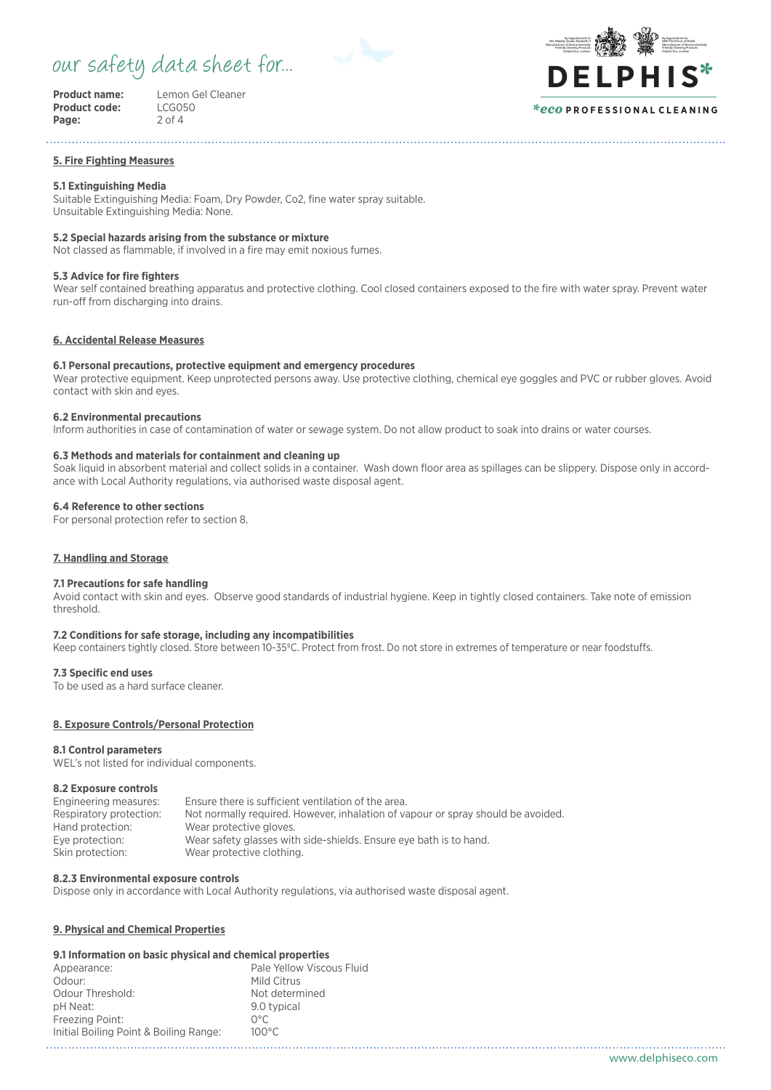# our safety data sheet for...



| Product name:        |  |
|----------------------|--|
| <b>Product code:</b> |  |
| Page:                |  |

**Product name:** Lemon Gel Cleaner **Product code:** LCG050 **Page:** 2 of 4

#### By Appointment to **HRH The Prince of Wale** Manufacturer of Environmentally Friendly Cleaning Products Delphis Eco, London By Appointment to Her Majesty Queen Elizabeth I Manufacturer of Environmentally Friendly Cleaning Products Delphis Eco, London **DE LPHIS**\* *\*eco* **P R O F E S S I O N A L C L E A N I N G**

#### **5. Fire Fighting Measures**

# **5.1 Extinguishing Media**

Suitable Extinguishing Media: Foam, Dry Powder, Co2, fine water spray suitable. Unsuitable Extinguishing Media: None.

# **5.2 Special hazards arising from the substance or mixture**

Not classed as flammable, if involved in a fire may emit noxious fumes.

# **5.3 Advice for fire fighters**

Wear self contained breathing apparatus and protective clothing. Cool closed containers exposed to the fire with water spray. Prevent water run-off from discharging into drains.

# **6. Accidental Release Measures**

# **6.1 Personal precautions, protective equipment and emergency procedures**

Wear protective equipment. Keep unprotected persons away. Use protective clothing, chemical eye goggles and PVC or rubber gloves. Avoid contact with skin and eyes.

# **6.2 Environmental precautions**

Inform authorities in case of contamination of water or sewage system. Do not allow product to soak into drains or water courses.

# **6.3 Methods and materials for containment and cleaning up**

Soak liquid in absorbent material and collect solids in a container. Wash down floor area as spillages can be slippery. Dispose only in accordance with Local Authority regulations, via authorised waste disposal agent.

# **6.4 Reference to other sections**

For personal protection refer to section 8.

# **7. Handling and Storage**

#### **7.1 Precautions for safe handling**

Avoid contact with skin and eyes. Observe good standards of industrial hygiene. Keep in tightly closed containers. Take note of emission threshold.

# **7.2 Conditions for safe storage, including any incompatibilities**

Keep containers tightly closed. Store between 10-35ºC. Protect from frost. Do not store in extremes of temperature or near foodstuffs.

# **7.3 Specific end uses**

To be used as a hard surface cleaner.

# **8. Exposure Controls/Personal Protection**

#### **8.1 Control parameters**

WEL's not listed for individual components.

# **8.2 Exposure controls**

| Engineering measures:   | Ensure there is sufficient ventilation of the area.                              |
|-------------------------|----------------------------------------------------------------------------------|
|                         |                                                                                  |
| Respiratory protection: | Not normally required. However, inhalation of vapour or spray should be avoided. |
| Hand protection:        | Wear protective gloves.                                                          |
| Eye protection:         | Wear safety glasses with side-shields. Ensure eye bath is to hand.               |
| Skin protection:        | Wear protective clothing.                                                        |

#### **8.2.3 Environmental exposure controls**

Dispose only in accordance with Local Authority regulations, via authorised waste disposal agent.

# **9. Physical and Chemical Properties**

# **9.1 Information on basic physical and chemical properties**

| Appearance:                            | Pale Yellow Viscous Fluid |
|----------------------------------------|---------------------------|
| Odour:                                 | Mild Citrus               |
| Odour Threshold:                       | Not determined            |
| pH Neat:                               | 9.0 typical               |
| Freezing Point:                        | ∩°∩                       |
| Initial Boiling Point & Boiling Range: | $100^{\circ}$ C           |
|                                        |                           |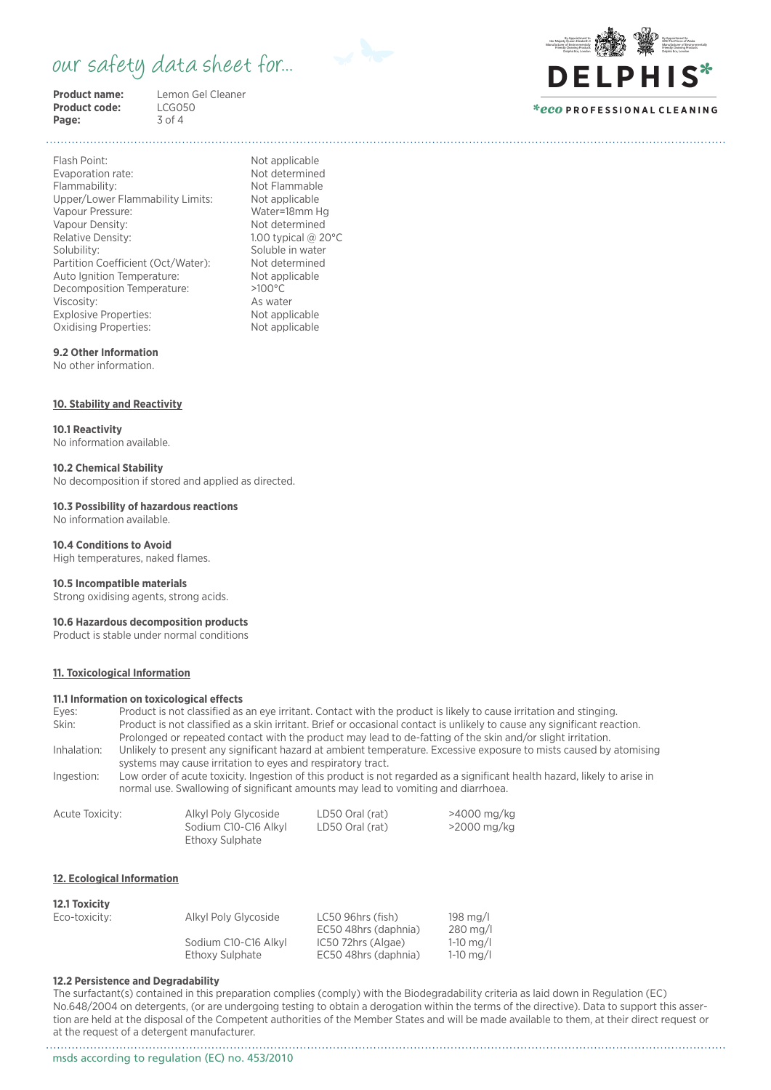# our safety data sheet for...



**Product code:** LCG05<br>**Page:** 3 of 4 Page:

**Product name:** Lemon Gel Cleaner<br> **Product code:** LCG050



# *\*eco* **P R O F E S S I O N A L C L E A N I N G**

Flash Point: Not applicable Evaporation rate: Not determined Flammability: Not Flammable Upper/Lower Flammability Limits: Not applicable<br>Vapour Pressure: Water=18mm Hg Vapour Pressure: Vapour Density: Not determined Relative Density: 1.00 typical @ 20°C Solubility: Soluble in water<br>
Partition Coefficient (Oct/Water): Not determined Partition Coefficient (Oct/Water): Not determine<br>Auto Ignition Temperature: Not applicable Auto Ignition Temperature: Decomposition Temperature: >100°C Viscosity: As water Explosive Properties: Not applicable<br>
Oxidising Properties: Not applicable Oxidising Properties:

# **9.2 Other Information**

No other information.

# **10. Stability and Reactivity**

#### **10.1 Reactivity**

No information available.

#### **10.2 Chemical Stability**

No decomposition if stored and applied as directed.

#### **10.3 Possibility of hazardous reactions** No information available.

# **10.4 Conditions to Avoid**

High temperatures, naked flames.

#### **10.5 Incompatible materials**

Strong oxidising agents, strong acids.

# **10.6 Hazardous decomposition products**

Product is stable under normal conditions

# **11. Toxicological Information**

#### **11.1 Information on toxicological effects**

| Eves:       | Product is not classified as an eye irritant. Contact with the product is likely to cause irritation and stinging.        |
|-------------|---------------------------------------------------------------------------------------------------------------------------|
| Skin:       | Product is not classified as a skin irritant. Brief or occasional contact is unlikely to cause any significant reaction.  |
|             | Prolonged or repeated contact with the product may lead to de-fatting of the skin and/or slight irritation.               |
| Inhalation: | Unlikely to present any significant hazard at ambient temperature. Excessive exposure to mists caused by atomising        |
|             | systems may cause irritation to eyes and respiratory tract.                                                               |
| Ingestion:  | Low order of acute toxicity. Ingestion of this product is not regarded as a significant health hazard, likely to arise in |
|             | normal use. Swallowing of significant amounts may lead to vomiting and diarrhoea.                                         |

| Acute Toxicity: | Alkyl Poly Glycoside | LD50 Oral (rat) | >4000 mg/kg |
|-----------------|----------------------|-----------------|-------------|
|                 | Sodium C10-C16 Alkyl | LD50 Oral (rat) | >2000 mg/kg |
|                 | Ethoxy Sulphate      |                 |             |

#### **12. Ecological Information**

#### **12.1 Toxicity**

| Eco-toxicity: | Alkyl Poly Glycoside | LC50 96hrs (fish)<br>EC50 48hrs (daphnia) | 198 mg/l<br>$280$ mg/l |
|---------------|----------------------|-------------------------------------------|------------------------|
|               | Sodium C10-C16 Alkyl | IC50 72hrs (Algae)                        | $1-10$ mg/l            |
|               | Ethoxy Sulphate      | EC50 48hrs (daphnia)                      | $1-10$ mg/l            |

#### **12.2 Persistence and Degradability**

The surfactant(s) contained in this preparation complies (comply) with the Biodegradability criteria as laid down in Regulation (EC) No.648/2004 on detergents, (or are undergoing testing to obtain a derogation within the terms of the directive). Data to support this assertion are held at the disposal of the Competent authorities of the Member States and will be made available to them, at their direct request or at the request of a detergent manufacturer.

msds according to regulation (EC) no. 453/2010